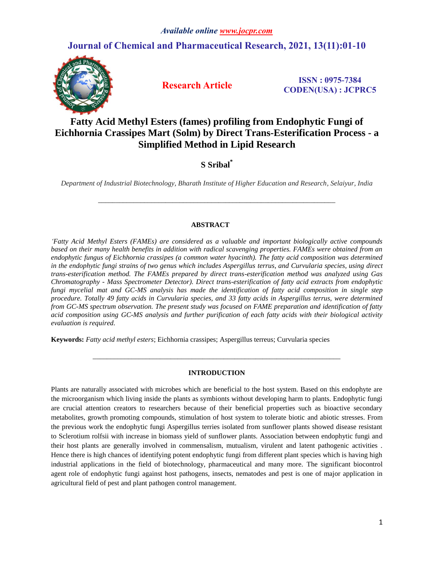# **Journal of Chemical and Pharmaceutical Research, 2021, 13(11):01-10**



 **Research Article ISSN : 0975-7384 CODEN(USA) : JCPRC5**

# **Fatty Acid Methyl Esters (fames) profiling from Endophytic Fungi of Eichhornia Crassipes Mart (Solm) by Direct Trans-Esterification Process - a Simplified Method in Lipid Research**

## **S Sribal\***

*Department of Industrial Biotechnology, Bharath Institute of Higher Education and Research, Selaiyur, India*

*\_\_\_\_\_\_\_\_\_\_\_\_\_\_\_\_\_\_\_\_\_\_\_\_\_\_\_\_\_\_\_\_\_\_\_\_\_\_\_\_\_\_\_\_\_\_\_\_\_\_\_\_\_\_\_\_\_\_\_\_\_\_\_\_\_\_\_*

## **ABSTRACT**

*'Fatty Acid Methyl Esters (FAMEs) are considered as a valuable and important biologically active compounds*  based on their many health benefits in addition with radical scavenging properties. FAMEs were obtained from an *endophytic fungus of Eichhornia crassipes (a common water hyacinth). The fatty acid composition was determined in the endophytic fungi strains of two genus which includes Aspergillus terrus, and Curvularia species, using direct trans-esterification method. The FAMEs prepared by direct trans-esterification method was analyzed using Gas Chromatography - Mass Spectrometer Detector). Direct trans-esterification of fatty acid extracts from endophytic fungi mycelial mat and GC-MS analysis has made the identification of fatty acid composition in single step procedure. Totally 49 fatty acids in Curvularia species, and 33 fatty acids in Aspergillus terrus, were determined from GC-MS spectrum observation. The present study was focused on FAME preparation and identification of fatty acid composition using GC-MS analysis and further purification of each fatty acids with their biological activity evaluation is required.*

**Keywords:** *Fatty acid methyl esters*; Eichhornia crassipes; Aspergillus terreus; Curvularia species

## **INTRODUCTION**

*\_\_\_\_\_\_\_\_\_\_\_\_\_\_\_\_\_\_\_\_\_\_\_\_\_\_\_\_\_\_\_\_\_\_\_\_\_\_\_\_\_\_\_\_\_\_\_\_\_\_\_\_\_\_\_\_\_\_\_\_\_\_\_\_\_\_\_\_\_\_*

Plants are naturally associated with microbes which are beneficial to the host system. Based on this endophyte are the microorganism which living inside the plants as symbionts without developing harm to plants. Endophytic fungi are crucial attention creators to researchers because of their beneficial properties such as bioactive secondary metabolites, growth promoting compounds, stimulation of host system to tolerate biotic and abiotic stresses. From the previous work the endophytic fungi Aspergillus terries isolated from sunflower plants showed disease resistant to Sclerotium rolfsii with increase in biomass yield of sunflower plants. Association between endophytic fungi and their host plants are generally involved in commensalism, mutualism, virulent and latent pathogenic activities . Hence there is high chances of identifying potent endophytic fungi from different plant species which is having high industrial applications in the field of biotechnology, pharmaceutical and many more. The significant biocontrol agent role of endophytic fungi against host pathogens, insects, nematodes and pest is one of major application in agricultural field of pest and plant pathogen control management.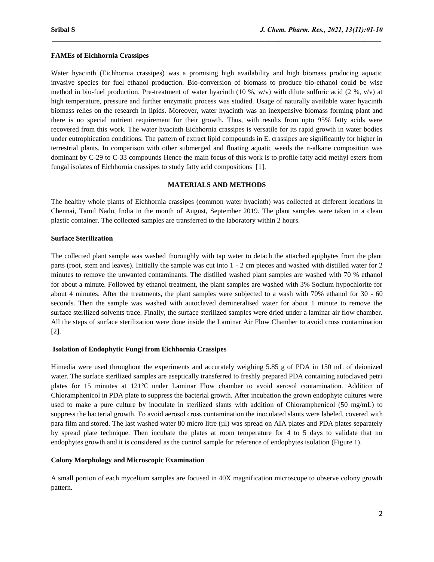#### **FAMEs of Eichhornia Crassipes**

Water hyacinth (Eichhornia crassipes) was a promising high availability and high biomass producing aquatic invasive species for fuel ethanol production. Bio-conversion of biomass to produce bio-ethanol could be wise method in bio-fuel production. Pre-treatment of water hyacinth (10 %, w/v) with dilute sulfuric acid (2 %, v/v) at high temperature, pressure and further enzymatic process was studied. Usage of naturally available water hyacinth biomass relies on the research in lipids. Moreover, water hyacinth was an inexpensive biomass forming plant and there is no special nutrient requirement for their growth. Thus, with results from upto 95% fatty acids were recovered from this work. The water hyacinth Eichhornia crassipes is versatile for its rapid growth in water bodies under eutrophication conditions. The pattern of extract lipid compounds in E. crassipes are significantly for higher in terrestrial plants. In comparison with other submerged and floating aquatic weeds the n-alkane composition was dominant by C-29 to C-33 compounds Hence the main focus of this work is to profile fatty acid methyl esters from fungal isolates of Eichhornia crassipes to study fatty acid compositions [1].

 $\mathcal{L}_\mathcal{L} = \mathcal{L}_\mathcal{L}$ 

#### **MATERIALS AND METHODS**

The healthy whole plants of Eichhornia crassipes (common water hyacinth) was collected at different locations in Chennai, Tamil Nadu, India in the month of August, September 2019. The plant samples were taken in a clean plastic container. The collected samples are transferred to the laboratory within 2 hours.

#### **Surface Sterilization**

The collected plant sample was washed thoroughly with tap water to detach the attached epiphytes from the plant parts (root, stem and leaves). Initially the sample was cut into 1 - 2 cm pieces and washed with distilled water for 2 minutes to remove the unwanted contaminants. The distilled washed plant samples are washed with 70 % ethanol for about a minute. Followed by ethanol treatment, the plant samples are washed with 3% Sodium hypochlorite for about 4 minutes. After the treatments, the plant samples were subjected to a wash with 70% ethanol for 30 - 60 seconds. Then the sample was washed with autoclaved demineralised water for about 1 minute to remove the surface sterilized solvents trace. Finally, the surface sterilized samples were dried under a laminar air flow chamber. All the steps of surface sterilization were done inside the Laminar Air Flow Chamber to avoid cross contamination [2].

#### **Isolation of Endophytic Fungi from Eichhornia Crassipes**

Himedia were used throughout the experiments and accurately weighing 5.85 g of PDA in 150 mL of deionized water. The surface sterilized samples are aseptically transferred to freshly prepared PDA containing autoclaved petri plates for 15 minutes at 121℃ under Laminar Flow chamber to avoid aerosol contamination. Addition of Chloramphenicol in PDA plate to suppress the bacterial growth. After incubation the grown endophyte cultures were used to make a pure culture by inoculate in sterilized slants with addition of Chloramphenicol (50 mg/mL) to suppress the bacterial growth. To avoid aerosol cross contamination the inoculated slants were labeled, covered with para film and stored. The last washed water 80 micro litre (µl) was spread on AIA plates and PDA plates separately by spread plate technique. Then incubate the plates at room temperature for 4 to 5 days to validate that no endophytes growth and it is considered as the control sample for reference of endophytes isolation (Figure 1).

#### **Colony Morphology and Microscopic Examination**

A small portion of each mycelium samples are focused in 40X magnification microscope to observe colony growth pattern.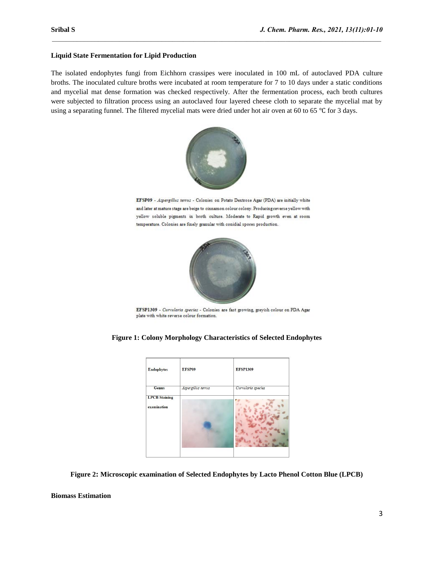## **Liquid State Fermentation for Lipid Production**

The isolated endophytes fungi from Eichhorn crassipes were inoculated in 100 mL of autoclaved PDA culture broths. The inoculated culture broths were incubated at room temperature for 7 to 10 days under a static conditions and mycelial mat dense formation was checked respectively. After the fermentation process, each broth cultures were subjected to filtration process using an autoclaved four layered cheese cloth to separate the mycelial mat by using a separating funnel. The filtered mycelial mats were dried under hot air oven at 60 to 65 ℃ for 3 days.

 $\mathcal{L}_\mathcal{L} = \mathcal{L}_\mathcal{L}$ 



EFSP09 - Aspergillus terrus - Colonies on Potato Dextrose Agar (PDA) are initially white and later at mature stage are beige to cinnamon colour colony. Producing reverse yellow with yellow soluble pigments in broth culture. Moderate to Rapid growth even at room temperature. Colonies are finely granular with conidial spores production.



EFSP1309 - Curvularia species - Colonies are fast growing, greyish colour on PDA Agar plate with white reverse colour formation.

## **Figure 1: Colony Morphology Characteristics of Selected Endophytes**

| <b>Endophytes</b>                   | EFSP09             | <b>EFSP1309</b>    |
|-------------------------------------|--------------------|--------------------|
| <b>Genus</b>                        | Aspergillus terrus | Curvularia species |
| <b>LPCB</b> Staining<br>examination |                    |                    |

**Figure 2: Microscopic examination of Selected Endophytes by Lacto Phenol Cotton Blue (LPCB)**

**Biomass Estimation**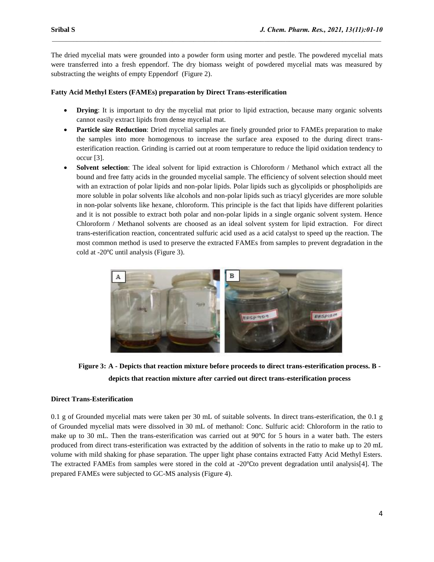The dried mycelial mats were grounded into a powder form using morter and pestle. The powdered mycelial mats were transferred into a fresh eppendorf. The dry biomass weight of powdered mycelial mats was measured by substracting the weights of empty Eppendorf (Figure 2).

 $\mathcal{L}_\mathcal{L} = \mathcal{L}_\mathcal{L}$ 

## **Fatty Acid Methyl Esters (FAMEs) preparation by Direct Trans-esterification**

- **Drying**: It is important to dry the mycelial mat prior to lipid extraction, because many organic solvents cannot easily extract lipids from dense mycelial mat.
- **Particle size Reduction**: Dried mycelial samples are finely grounded prior to FAMEs preparation to make the samples into more homogenous to increase the surface area exposed to the during direct transesterification reaction. Grinding is carried out at room temperature to reduce the lipid oxidation tendency to occur [3].
- **Solvent selection**: The ideal solvent for lipid extraction is Chloroform / Methanol which extract all the bound and free fatty acids in the grounded mycelial sample. The efficiency of solvent selection should meet with an extraction of polar lipids and non-polar lipids. Polar lipids such as glycolipids or phospholipids are more soluble in polar solvents like alcohols and non-polar lipids such as triacyl glycerides are more soluble in non-polar solvents like hexane, chloroform. This principle is the fact that lipids have different polarities and it is not possible to extract both polar and non-polar lipids in a single organic solvent system. Hence Chloroform / Methanol solvents are choosed as an ideal solvent system for lipid extraction. For direct trans-esterification reaction, concentrated sulfuric acid used as a acid catalyst to speed up the reaction. The most common method is used to preserve the extracted FAMEs from samples to prevent degradation in the cold at -20℃ until analysis (Figure 3).



**Figure 3: A - Depicts that reaction mixture before proceeds to direct trans-esterification process. B depicts that reaction mixture after carried out direct trans-esterification process**

## **Direct Trans-Esterification**

0.1 g of Grounded mycelial mats were taken per 30 mL of suitable solvents. In direct trans-esterification, the 0.1 g of Grounded mycelial mats were dissolved in 30 mL of methanol: Conc. Sulfuric acid: Chloroform in the ratio to make up to 30 mL. Then the trans-esterification was carried out at 90℃ for 5 hours in a water bath. The esters produced from direct trans-esterification was extracted by the addition of solvents in the ratio to make up to 20 mL volume with mild shaking for phase separation. The upper light phase contains extracted Fatty Acid Methyl Esters. The extracted FAMEs from samples were stored in the cold at -20℃to prevent degradation until analysis[4]. The prepared FAMEs were subjected to GC-MS analysis (Figure 4).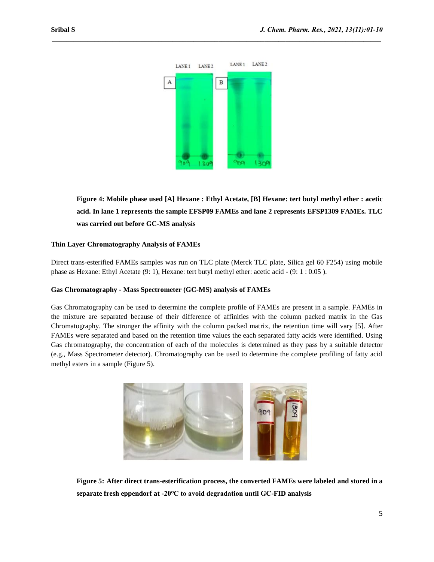

 $\mathcal{L}_\mathcal{L} = \mathcal{L}_\mathcal{L}$ 

**Figure 4: Mobile phase used [A] Hexane : Ethyl Acetate, [B] Hexane: tert butyl methyl ether : acetic acid. In lane 1 represents the sample EFSP09 FAMEs and lane 2 represents EFSP1309 FAMEs. TLC was carried out before GC-MS analysis**

#### **Thin Layer Chromatography Analysis of FAMEs**

Direct trans-esterified FAMEs samples was run on TLC plate (Merck TLC plate, Silica gel 60 F254) using mobile phase as Hexane: Ethyl Acetate (9: 1), Hexane: tert butyl methyl ether: acetic acid - (9: 1 : 0.05 ).

#### **Gas Chromatography - Mass Spectrometer (GC-MS) analysis of FAMEs**

Gas Chromatography can be used to determine the complete profile of FAMEs are present in a sample. FAMEs in the mixture are separated because of their difference of affinities with the column packed matrix in the Gas Chromatography. The stronger the affinity with the column packed matrix, the retention time will vary [5]. After FAMEs were separated and based on the retention time values the each separated fatty acids were identified. Using Gas chromatography, the concentration of each of the molecules is determined as they pass by a suitable detector (e.g., Mass Spectrometer detector). Chromatography can be used to determine the complete profiling of fatty acid methyl esters in a sample (Figure 5).



**Figure 5: After direct trans-esterification process, the converted FAMEs were labeled and stored in a separate fresh eppendorf at -20℃ to avoid degradation until GC-FID analysis**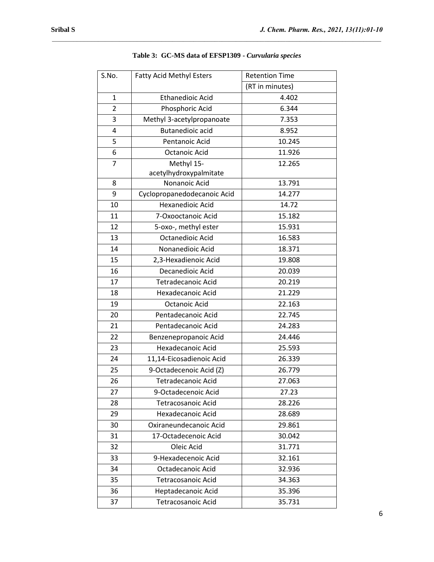| S.No.          | <b>Fatty Acid Methyl Esters</b> | <b>Retention Time</b> |
|----------------|---------------------------------|-----------------------|
|                |                                 | (RT in minutes)       |
| $\mathbf{1}$   | <b>Ethanedioic Acid</b>         | 4.402                 |
| $\overline{2}$ | Phosphoric Acid                 | 6.344                 |
| 3              | Methyl 3-acetylpropanoate       | 7.353                 |
| 4              | <b>Butanedioic acid</b>         | 8.952                 |
| 5              | Pentanoic Acid                  | 10.245                |
| 6              | <b>Octanoic Acid</b>            | 11.926                |
| $\overline{7}$ | Methyl 15-                      | 12.265                |
|                | acetylhydroxypalmitate          |                       |
| 8              | Nonanoic Acid                   | 13.791                |
| 9              | Cyclopropanedodecanoic Acid     | 14.277                |
| 10             | Hexanedioic Acid                | 14.72                 |
| 11             | 7-Oxooctanoic Acid              | 15.182                |
| 12             | 5-oxo-, methyl ester            | 15.931                |
| 13             | <b>Octanedioic Acid</b>         | 16.583                |
| 14             | Nonanedioic Acid                | 18.371                |
| 15             | 2,3-Hexadienoic Acid            | 19.808                |
| 16             | Decanedioic Acid                | 20.039                |
| 17             | <b>Tetradecanoic Acid</b>       | 20.219                |
| 18             | Hexadecanoic Acid               | 21.229                |
| 19             | <b>Octanoic Acid</b>            | 22.163                |
| 20             | Pentadecanoic Acid              | 22.745                |
| 21             | Pentadecanoic Acid              | 24.283                |
| 22             | Benzenepropanoic Acid           | 24.446                |
| 23             | Hexadecanoic Acid               | 25.593                |
| 24             | 11,14-Eicosadienoic Acid        | 26.339                |
| 25             | 9-Octadecenoic Acid (Z)         | 26.779                |
| 26             | <b>Tetradecanoic Acid</b>       | 27.063                |
| 27             | 9-Octadecenoic Acid             | 27.23                 |
| 28             | <b>Tetracosanoic Acid</b>       | 28.226                |
| 29             | Hexadecanoic Acid               | 28.689                |
| 30             | Oxiraneundecanoic Acid          | 29.861                |
| 31             | 17-Octadecenoic Acid            | 30.042                |
| 32             | Oleic Acid                      | 31.771                |
| 33             | 9-Hexadecenoic Acid             | 32.161                |
| 34             | Octadecanoic Acid               | 32.936                |
| 35             | Tetracosanoic Acid              | 34.363                |
| 36             | Heptadecanoic Acid              | 35.396                |
| 37             | Tetracosanoic Acid              | 35.731                |

## **Table 3: GC-MS data of EFSP1309 -** *Curvularia species*

 $\mathcal{L}_\mathcal{L} = \mathcal{L}_\mathcal{L}$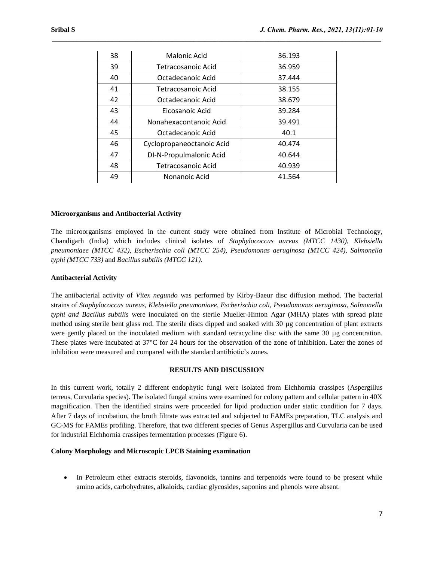| 38 | Malonic Acid              | 36.193 |
|----|---------------------------|--------|
| 39 | Tetracosanoic Acid        | 36.959 |
| 40 | Octadecanoic Acid         | 37.444 |
| 41 | Tetracosanoic Acid        | 38.155 |
| 42 | Octadecanoic Acid         | 38.679 |
| 43 | Eicosanoic Acid           | 39.284 |
| 44 | Nonahexacontanoic Acid    | 39.491 |
| 45 | Octadecanoic Acid         | 40.1   |
| 46 | Cyclopropaneoctanoic Acid | 40.474 |
| 47 | DI-N-Propulmalonic Acid   | 40.644 |
| 48 | Tetracosanoic Acid        | 40.939 |
| 49 | Nonanoic Acid             | 41.564 |

 $\mathcal{L}_\mathcal{L} = \mathcal{L}_\mathcal{L}$ 

#### **Microorganisms and Antibacterial Activity**

The microorganisms employed in the current study were obtained from Institute of Microbial Technology, Chandigarh (India) which includes clinical isolates of *Staphylococcus aureus (MTCC 1430), Klebsiella pneumoniaee (MTCC 432), Escherischia coli (MTCC 254), Pseudomonas aeruginosa (MTCC 424), Salmonella typhi (MTCC 733)* and *Bacillus subtilis (MTCC 121).*

#### **Antibacterial Activity**

The antibacterial activity of *Vitex negundo* was performed by Kirby-Baeur disc diffusion method. The bacterial strains of *Staphylococcus aureus, Klebsiella pneumoniaee, Escherischia coli, Pseudomonas aeruginosa, Salmonella typhi and Bacillus subtilis* were inoculated on the sterile Mueller-Hinton Agar (MHA) plates with spread plate method using sterile bent glass rod. The sterile discs dipped and soaked with 30 µg concentration of plant extracts were gently placed on the inoculated medium with standard tetracycline disc with the same 30 µg concentration. These plates were incubated at 37°C for 24 hours for the observation of the zone of inhibition. Later the zones of inhibition were measured and compared with the standard antibiotic's zones.

#### **RESULTS AND DISCUSSION**

In this current work, totally 2 different endophytic fungi were isolated from Eichhornia crassipes (Aspergillus terreus, Curvularia species). The isolated fungal strains were examined for colony pattern and cellular pattern in 40X magnification. Then the identified strains were proceeded for lipid production under static condition for 7 days. After 7 days of incubation, the broth filtrate was extracted and subjected to FAMEs preparation, TLC analysis and GC-MS for FAMEs profiling. Therefore, that two different species of Genus Aspergillus and Curvularia can be used for industrial Eichhornia crassipes fermentation processes (Figure 6).

#### **Colony Morphology and Microscopic LPCB Staining examination**

 In Petroleum ether extracts steroids, flavonoids, tannins and terpenoids were found to be present while amino acids, carbohydrates, alkaloids, cardiac glycosides, saponins and phenols were absent.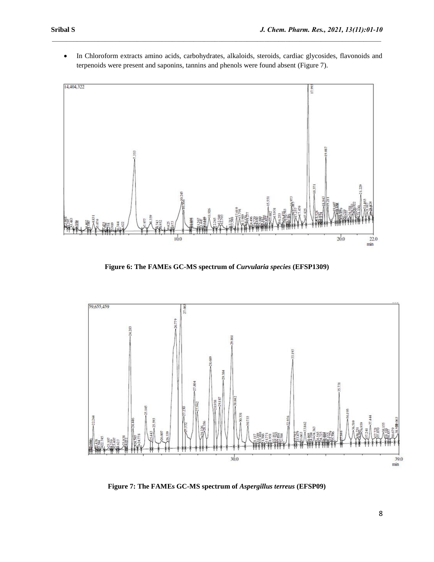In Chloroform extracts amino acids, carbohydrates, alkaloids, steroids, cardiac glycosides, flavonoids and terpenoids were present and saponins, tannins and phenols were found absent (Figure 7).

 $\mathcal{L}_\mathcal{L} = \mathcal{L}_\mathcal{L}$ 



**Figure 6: The FAMEs GC-MS spectrum of** *Curvularia species* **(EFSP1309)**



**Figure 7: The FAMEs GC-MS spectrum of** *Aspergillus terreus* **(EFSP09)**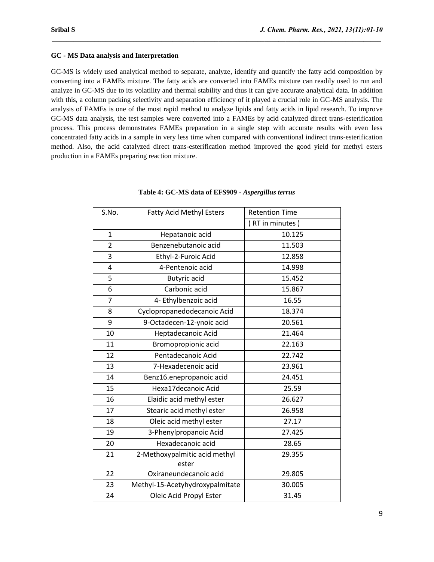## **GC - MS Data analysis and Interpretation**

GC-MS is widely used analytical method to separate, analyze, identify and quantify the fatty acid composition by converting into a FAMEs mixture. The fatty acids are converted into FAMEs mixture can readily used to run and analyze in GC-MS due to its volatility and thermal stability and thus it can give accurate analytical data. In addition with this, a column packing selectivity and separation efficiency of it played a crucial role in GC-MS analysis. The analysis of FAMEs is one of the most rapid method to analyze lipids and fatty acids in lipid research. To improve GC-MS data analysis, the test samples were converted into a FAMEs by acid catalyzed direct trans-esterification process. This process demonstrates FAMEs preparation in a single step with accurate results with even less concentrated fatty acids in a sample in very less time when compared with conventional indirect trans-esterification method. Also, the acid catalyzed direct trans-esterification method improved the good yield for methyl esters production in a FAMEs preparing reaction mixture.

 $\mathcal{L}_\mathcal{L} = \mathcal{L}_\mathcal{L}$ 

| S.No.          | <b>Fatty Acid Methyl Esters</b> | <b>Retention Time</b> |
|----------------|---------------------------------|-----------------------|
|                |                                 | (RT in minutes)       |
| $\mathbf{1}$   | Hepatanoic acid                 | 10.125                |
| $\overline{2}$ | Benzenebutanoic acid            | 11.503                |
| 3              | Ethyl-2-Furoic Acid             | 12.858                |
| 4              | 4-Pentenoic acid                | 14.998                |
| 5              | <b>Butyric</b> acid             | 15.452                |
| 6              | Carbonic acid                   | 15.867                |
| $\overline{7}$ | 4- Ethylbenzoic acid            | 16.55                 |
| 8              | Cyclopropanedodecanoic Acid     | 18.374                |
| 9              | 9-Octadecen-12-ynoic acid       | 20.561                |
| 10             | Heptadecanoic Acid              | 21.464                |
| 11             | Bromopropionic acid             | 22.163                |
| 12             | Pentadecanoic Acid              | 22.742                |
| 13             | 7-Hexadecenoic acid             | 23.961                |
| 14             | Benz16.enepropanoic acid        | 24.451                |
| 15             | Hexa17decanoic Acid             | 25.59                 |
| 16             | Elaidic acid methyl ester       | 26.627                |
| 17             | Stearic acid methyl ester       | 26.958                |
| 18             | Oleic acid methyl ester         | 27.17                 |
| 19             | 3-Phenylpropanoic Acid          | 27.425                |
| 20             | Hexadecanoic acid               | 28.65                 |
| 21             | 2-Methoxypalmitic acid methyl   | 29.355                |
|                | ester                           |                       |
| 22             | Oxiraneundecanoic acid          | 29.805                |
| 23             | Methyl-15-Acetyhydroxypalmitate | 30.005                |
| 24             | Oleic Acid Propyl Ester         | 31.45                 |

#### **Table 4: GC-MS data of EFS909 -** *Aspergillus terrus*